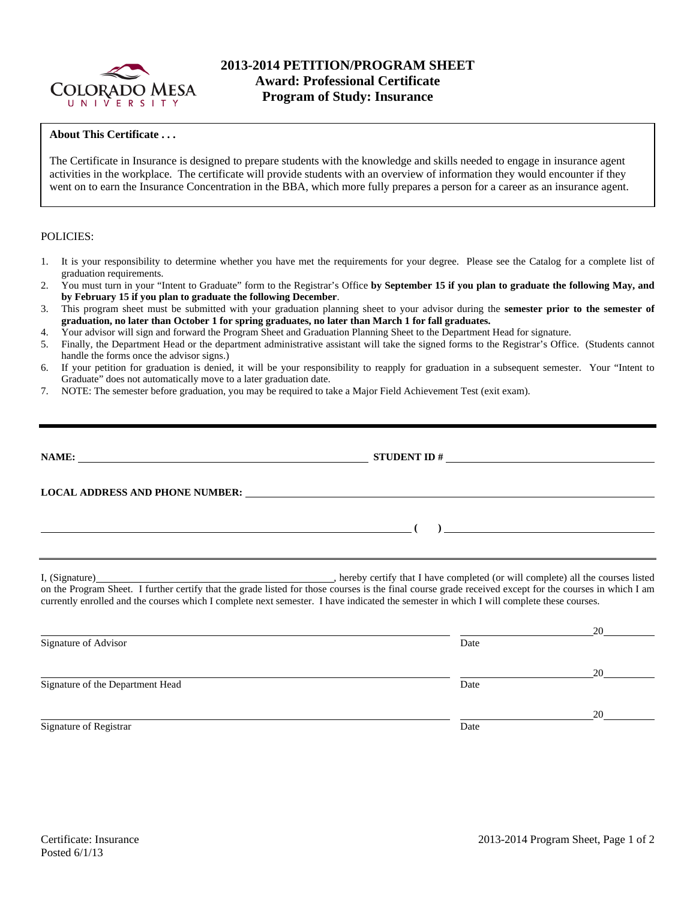

### **About This Certificate . . .**

The Certificate in Insurance is designed to prepare students with the knowledge and skills needed to engage in insurance agent activities in the workplace. The certificate will provide students with an overview of information they would encounter if they went on to earn the Insurance Concentration in the BBA, which more fully prepares a person for a career as an insurance agent.

#### POLICIES:

- 1. It is your responsibility to determine whether you have met the requirements for your degree. Please see the Catalog for a complete list of graduation requirements.
- 2. You must turn in your "Intent to Graduate" form to the Registrar's Office **by September 15 if you plan to graduate the following May, and by February 15 if you plan to graduate the following December**.
- 3. This program sheet must be submitted with your graduation planning sheet to your advisor during the **semester prior to the semester of graduation, no later than October 1 for spring graduates, no later than March 1 for fall graduates.**
- 4. Your advisor will sign and forward the Program Sheet and Graduation Planning Sheet to the Department Head for signature.
- 5. Finally, the Department Head or the department administrative assistant will take the signed forms to the Registrar's Office. (Students cannot handle the forms once the advisor signs.)
- 6. If your petition for graduation is denied, it will be your responsibility to reapply for graduation in a subsequent semester. Your "Intent to Graduate" does not automatically move to a later graduation date.
- 7. NOTE: The semester before graduation, you may be required to take a Major Field Achievement Test (exit exam).

Signature of the Department Head Date

|                      | STUDENT ID $\#$                                                                                                                                                                                                                                                                                     |    |  |  |  |
|----------------------|-----------------------------------------------------------------------------------------------------------------------------------------------------------------------------------------------------------------------------------------------------------------------------------------------------|----|--|--|--|
|                      | LOCAL ADDRESS AND PHONE NUMBER: University of the contract of the contract of the contract of the contract of the contract of the contract of the contract of the contract of the contract of the contract of the contract of                                                                       |    |  |  |  |
|                      |                                                                                                                                                                                                                                                                                                     |    |  |  |  |
|                      | on the Program Sheet. I further certify that the grade listed for those courses is the final course grade received except for the courses in which I am<br>currently enrolled and the courses which I complete next semester. I have indicated the semester in which I will complete these courses. |    |  |  |  |
| Signature of Advisor | Date                                                                                                                                                                                                                                                                                                |    |  |  |  |
|                      |                                                                                                                                                                                                                                                                                                     | 20 |  |  |  |

Signature of Registrar Date and Separature of Registrar Date

20